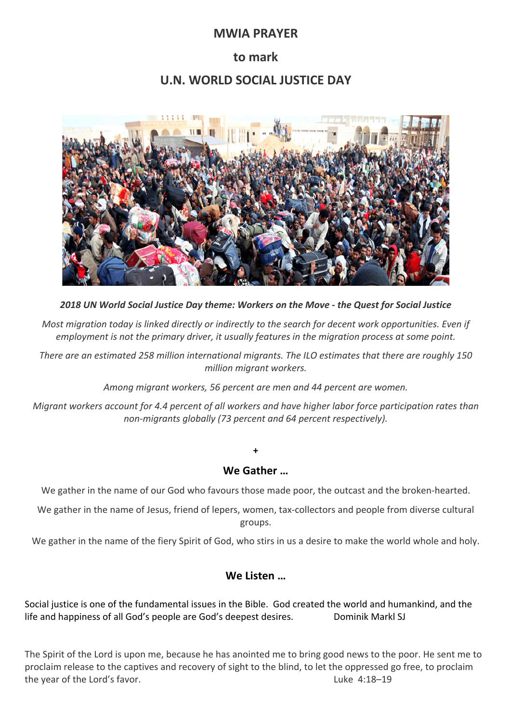## **MWIA PRAYER**

# **to mark**

# **U.N. WORLD SOCIAL JUSTICE DAY**



*2018 UN World Social Justice Day theme: Workers on the Move - the Quest for Social Justice*

*Most migration today is linked directly or indirectly to the search for decent work opportunities. Even if employment is not the primary driver, it usually features in the migration process at some point.*

*There are an estimated 258 million international migrants. The ILO estimates that there are roughly 150 million migrant workers.*

*Among migrant workers, 56 percent are men and 44 percent are women.*

*Migrant workers account for 4.4 percent of all workers and have higher labor force participation rates than non-migrants globally (73 percent and 64 percent respectively).*

#### **We Gather …**

**+**

We gather in the name of our God who favours those made poor, the outcast and the broken-hearted.

We gather in the name of Jesus, friend of lepers, women, tax-collectors and people from diverse cultural groups.

We gather in the name of the fiery Spirit of God, who stirs in us a desire to make the world whole and holy.

#### **We Listen …**

Social justice is one of the fundamental issues in the Bible. God created the world and humankind, and the life and happiness of all God's people are God's deepest desires. Dominik Markl SJ

The Spirit of the Lord is upon me, because he has anointed me to bring good news to the poor. He sent me to proclaim release to the captives and recovery of sight to the blind, to let the oppressed go free, to proclaim the year of the Lord's favor. Luke 4:18–19